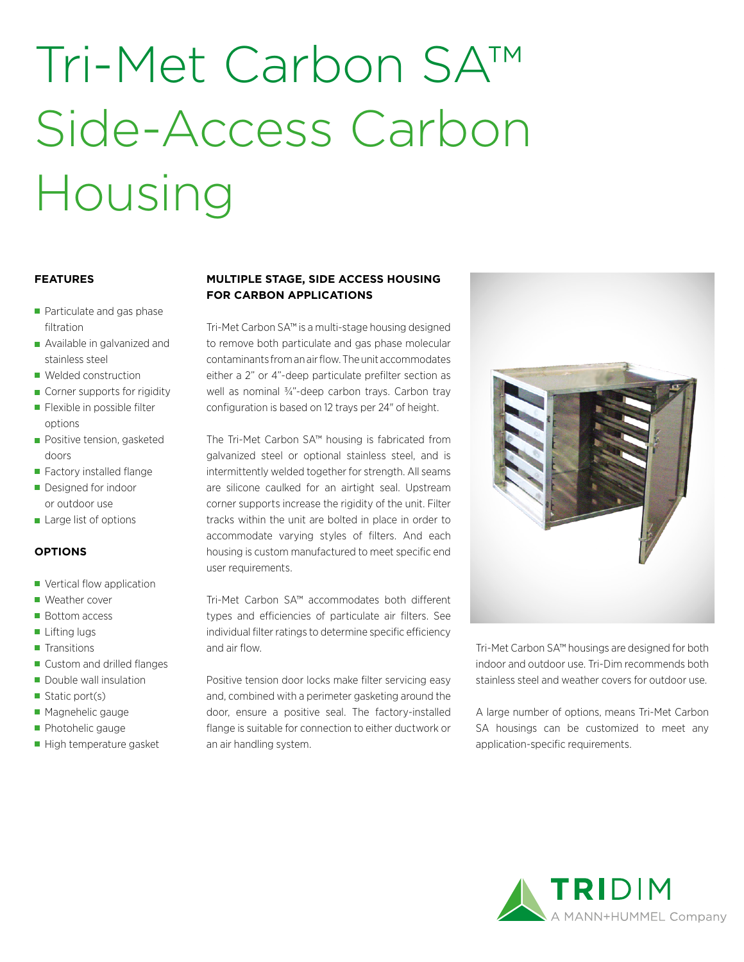# Tri-Met Carbon SA™ Side-Access Carbon Housing

#### **FEATURES**

- Particulate and gas phase filtration
- **Available in galvanized and** stainless steel
- **Welded construction**
- Corner supports for rigidity
- **Flexible in possible filter** options
- **Positive tension, gasketed** doors
- Factory installed flange
- Designed for indoor or outdoor use
- **Large list of options**

#### **OPTIONS**

- Vertical flow application
- Weather cover
- Bottom access
- Lifting lugs
- **Transitions**
- Custom and drilled flanges
- Double wall insulation
- Static port(s)
- **Magnehelic gauge**
- Photohelic gauge
- High temperature gasket

### **MULTIPLE STAGE, SIDE ACCESS HOUSING FOR CARBON APPLICATIONS**

Tri-Met Carbon SA™ is a multi-stage housing designed to remove both particulate and gas phase molecular contaminants from an air flow. The unit accommodates either a 2" or 4"-deep particulate prefilter section as well as nominal 3/4"-deep carbon trays. Carbon tray configuration is based on 12 trays per 24" of height.

The Tri-Met Carbon SA™ housing is fabricated from galvanized steel or optional stainless steel, and is intermittently welded together for strength. All seams are silicone caulked for an airtight seal. Upstream corner supports increase the rigidity of the unit. Filter tracks within the unit are bolted in place in order to accommodate varying styles of filters. And each housing is custom manufactured to meet specific end user requirements.

Tri-Met Carbon SA™ accommodates both different types and efficiencies of particulate air filters. See individual filter ratings to determine specific efficiency and air flow.

Positive tension door locks make filter servicing easy and, combined with a perimeter gasketing around the door, ensure a positive seal. The factory-installed flange is suitable for connection to either ductwork or an air handling system.



Tri-Met Carbon SA™ housings are designed for both indoor and outdoor use. Tri-Dim recommends both stainless steel and weather covers for outdoor use.

A large number of options, means Tri-Met Carbon SA housings can be customized to meet any application-specific requirements.